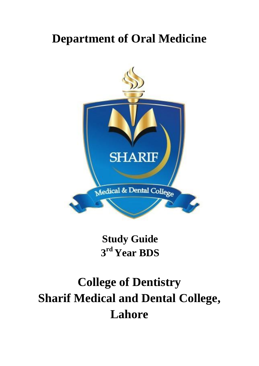## **Department of Oral Medicine**



**Study Guide 3 rd Year BDS**

# **College of Dentistry Sharif Medical and Dental College, Lahore**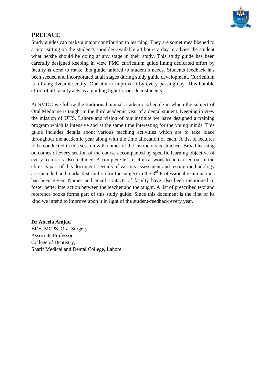

## **PREFACE**

Study guides can make a major contribution to learning. They are sometimes likened to a tutor sitting on the student's shoulder-available 24 hours a day to advise the student what he/she should be doing at any stage in their study. This study guide has been carefully designed keeping in view PMC curriculum guide lining dedicated effort by faculty is done to make this guide tailored to student's needs. Students feedback has been seeded and incorporated at all stages during study guide development. Curriculum is a living dynamic entity. Our aim to improve it by every passing day. This humble effort of all faculty acts as a guiding light for our dear students.

At SMDC we follow the traditional annual academic schedule in which the subject of Oral Medicine is taught in the third academic year of a dental student. Keeping in view the mission of UHS, Lahore and vision of our institute we have designed a training program which is intensive and at the same time interesting for the young minds. This guide includes details about various teaching activities which are to take place throughout the academic year along with the time allocation of each. A list of lectures to be conducted in this session with names of the instructors is attached. Broad learning outcomes of every section of the course accompanied by specific learning objective of every lecture is also included. A complete list of clinical work to be carried out in the clinic is part of this document. Details of various assessment and testing methodology are included and marks distribution for the subject in the  $3<sup>rd</sup>$  Professional examinations has been given. Names and email contacts of faculty have also been mentioned to foster better interaction between the teacher and the taught. A list of prescribed text and reference books forms part of this study guide. Since this document is the first of its kind we intend to improve upon it in light of the student-feedback every year.

### **Dr Aneela Amjad**

BDS, MCPS, Oral Surgery Associate Professor College of Dentistry, Sharif Medical and Dental College, Lahore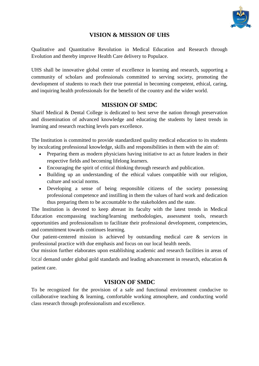

## **VISION & MISSION OF UHS**

Qualitative and Quantitative Revolution in Medical Education and Research through Evolution and thereby improve Health Care delivery to Populace.

UHS shall be innovative global center of excellence in learning and research, supporting a community of scholars and professionals committed to serving society, promoting the development of students to reach their true potential in becoming competent, ethical, caring, and inquiring health professionals for the benefit of the country and the wider world.

## **MISSION OF SMDC**

Sharif Medical & Dental College is dedicated to best serve the nation through preservation and dissemination of advanced knowledge and educating the students by latest trends in learning and research reaching levels pars excellence.

The Institution is committed to provide standardized quality medical education to its students by inculcating professional knowledge, skills and responsibilities in them with the aim of:

- Preparing them as modern physicians having initiative to act as future leaders in their respective fields and becoming lifelong learners.
- Encouraging the spirit of critical thinking through research and publication.
- Building up an understanding of the ethical values compatible with our religion, culture and social norms.
- Developing a sense of being responsible citizens of the society possessing professional competence and instilling in them the values of hard work and dedication thus preparing them to be accountable to the stakeholders and the state.

The Institution is devoted to keep abreast its faculty with the latest trends in Medical Education encompassing teaching/learning methodologies, assessment tools, research opportunities and professionalism to facilitate their professional development, competencies, and commitment towards continues learning.

Our patient-centered mission is achieved by outstanding medical care & services in professional practice with due emphasis and focus on our local health needs.

Our mission further elaborates upon establishing academic and research facilities in areas of local demand under global gold standards and leading advancement in research, education &

patient care.

## **VISION OF SMDC**

To be recognized for the provision of a safe and functional environment conducive to collaborative teaching & learning, comfortable working atmosphere, and conducting world class research through professionalism and excellence.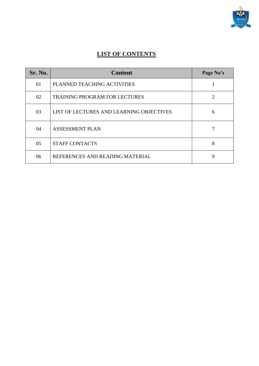

## **LIST OF CONTENTS**

| Sr. No. | <b>Content</b>                           | Page No's              |
|---------|------------------------------------------|------------------------|
| 01      | PLANNED TEACHING ACTIVITIES              |                        |
| 02      | <b>TRAINING PROGRAM FOR LECTURES</b>     | $\mathfrak{D}_{\cdot}$ |
| 03      | LIST OF LECTURES AND LEARNING OBJECTIVES | 6                      |
| 04      | <b>ASSESSMENT PLAN</b>                   |                        |
| 05      | <b>STAFF CONTACTS</b>                    | 8                      |
| 06      | REFERENCES AND READING MATERIAL          | 9                      |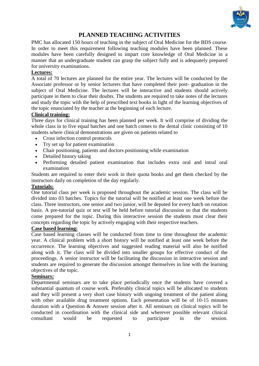

## **PLANNED TEACHING ACTIVITIES**

PMC has allocated 150 hours of teaching in the subject of Oral Medicine for the BDS course. In order to meet this requirement following teaching modules have been planned. These modules have been carefully designed to impart core knowledge of Oral Medicine in a manner that an undergraduate student can grasp the subject fully and is adequately prepared for university examinations.

#### **Lectures:**

A total of 70 lectures are planned for the entire year. The lectures will be conducted by the Associate professor or by senior lecturers that have completed their post- graduation in the subject of Oral Medicine. The lectures will be interactive and students should actively participate in them to clear their doubts. The students are required to take notes of the lectures and study the topic with the help of prescribed text books in light of the learning objectives of the topic enunciated by the teacher at the beginning of each lecture.

#### **Clinical training:**

Three days for clinical training has been planned per week. It will comprise of dividing the whole class in to five equal batches and one batch comes to the dental clinic consisting of 10 students where clinical demonstrations are given on patients related to

- Cross infection control protocols
- Try set up for patient examination
- Chair positioning, patients and doctors positioning while examination
- Detailed history taking
- Performing detailed patient examination that includes extra oral and intral oral examination

Students are required to enter their work in their quota books and get them checked by the instructors daily on completion of the day regularly.

#### **Tutorials:**

One tutorial class per week is proposed throughout the academic session. The class will be divided into 03 batches. Topics for the tutorial will be notified at least one week before the class. Three instructors, one senior and two junior, will be deputed for every batch on rotation basis. A pre-tutorial quiz or test will be held before tutorial discussion so that the students come prepared for the topic. During this interactive session the students must clear their concepts regarding the topic by actively engaging with their respective teachers.

#### **Case based learning:**

Case based learning classes will be conducted from time to time throughout the academic year. A clinical problem with a short history will be notified at least one week before the occurrence. The learning objectives and suggested reading material will also be notified along with it. The class will be divided into smaller groups for effective conduct of the proceedings. A senior instructor will be facilitating the discussion in interactive session and students are required to generate the discussion amongst themselves in line with the learning objectives of the topic.

### **Seminars:**

Departmental seminars are to take place periodically once the students have covered a substantial quantum of course work. Preferably clinical topics will be allocated to students and they will present a very short case history with ongoing treatment of the patient along with other available drug treatment options. Each presentation will be of 10-15 minutes duration with a Question & Answer session after it. All seminars on clinical topics will be conducted in coordination with the clinical side and wherever possible relevant clinical consultant would be requested to participate in the session.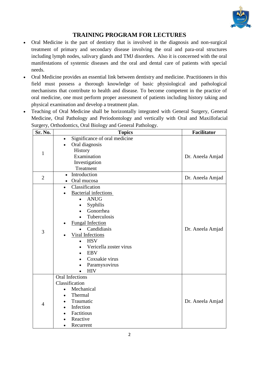

## **TRAINING PROGRAM FOR LECTURES**

- Oral Medicine is the part of dentistry that is involved in the diagnosis and non-surgical treatment of primary and secondary disease involving the oral and para-oral structures including lymph nodes, salivary glands and TMJ disorders. Also it is concerned with the oral manifestations of systemic diseases and the oral and dental care of patients with special needs.
- Oral Medicine provides an essential link between dentistry and medicine. Practitioners in this field must possess a thorough knowledge of basic physiological and pathological mechanisms that contribute to health and disease. To become competent in the practice of oral medicine, one must perform proper assessment of patients including history taking and physical examination and develop a treatment plan.
- Teaching of Oral Medicine shall be horizontally integrated with General Surgery, General Medicine, Oral Pathology and Periodontology and vertically with Oral and Maxillofacial Surgery, Orthodontics, Oral Biology and General Pathology.

| Sr. No.        | ັັ<br><b>Topics</b>                                                                                                                                                                                                                                                                                                                   | Facilitator      |
|----------------|---------------------------------------------------------------------------------------------------------------------------------------------------------------------------------------------------------------------------------------------------------------------------------------------------------------------------------------|------------------|
| 1              | Significance of oral medicine<br>$\bullet$<br>Oral diagnosis<br>History<br>Examination<br>Investigation<br>Treatment                                                                                                                                                                                                                  | Dr. Aneela Amjad |
| $\overline{2}$ | Introduction<br>$\bullet$<br>Oral mucosa<br>$\bullet$                                                                                                                                                                                                                                                                                 | Dr. Aneela Amjad |
| 3              | Classification<br>$\bullet$<br><b>Bacterial infections</b><br><b>ANUG</b><br>$\bullet$<br>Syphilis<br>Gonorrhea<br>Tuberculosis<br><b>Fungal Infection</b><br>Candidiasis<br>$\bullet$<br><b>Viral Infections</b><br><b>HSV</b><br>$\bullet$<br>Vericella zoster virus<br><b>EBV</b><br>Coxsakie virus<br>Paramyxovirus<br><b>HIV</b> | Dr. Aneela Amjad |
| $\overline{4}$ | <b>Oral Infections</b><br>Classification<br>Mechanical<br>Thermal<br>Traumatic<br>Infection<br>Factitious<br>Reactive<br>Recurrent<br>$\bullet$                                                                                                                                                                                       | Dr. Aneela Amjad |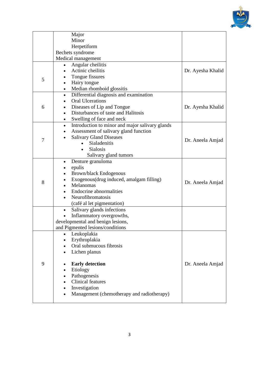

| Dr. Ayesha Khalid |
|-------------------|
|                   |
|                   |
|                   |
|                   |
|                   |
| Dr. Ayesha Khalid |
|                   |
|                   |
|                   |
|                   |
|                   |
| Dr. Aneela Amjad  |
|                   |
|                   |
|                   |
|                   |
|                   |
|                   |
| Dr. Aneela Amjad  |
|                   |
|                   |
|                   |
|                   |
|                   |
|                   |
|                   |
|                   |
|                   |
|                   |
|                   |
|                   |
| Dr. Aneela Amjad  |
|                   |
|                   |
|                   |
|                   |
|                   |
|                   |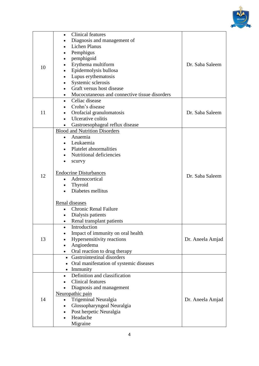

|    | Clinical features                                    |                  |
|----|------------------------------------------------------|------------------|
|    | Diagnosis and management of                          |                  |
|    | <b>Lichen Planus</b>                                 |                  |
|    | Pemphigus                                            |                  |
|    | pemphigoid                                           |                  |
|    | Erythema multiform                                   | Dr. Saba Saleem  |
| 10 | Epidermolysis bullosa                                |                  |
|    | Lupus erythematosis                                  |                  |
|    | Systemic sclerosis                                   |                  |
|    | Graft versus host disease                            |                  |
|    | Mucocutaneous and connective tissue disorders        |                  |
|    | Celiac disease                                       |                  |
|    | Crohn's disease                                      |                  |
| 11 | Orofacial granulomatosis                             | Dr. Saba Saleem  |
|    | Ulcerative colitis                                   |                  |
|    | Gastroesophageal reflux disease<br>$\bullet$         |                  |
|    | <b>Blood and Nutrition Disorders</b>                 |                  |
|    | Anaemia                                              |                  |
|    | Leukaemia                                            |                  |
|    | Platelet abnormalities                               |                  |
|    | Nutritional deficiencies                             |                  |
|    | scurvy                                               |                  |
|    |                                                      |                  |
|    | <b>Endocrine Disturbances</b>                        |                  |
| 12 | Adrenocortical                                       | Dr. Saba Saleem  |
|    | Thyroid                                              |                  |
|    | Diabetes mellitus                                    |                  |
|    |                                                      |                  |
|    | Renal diseases                                       |                  |
|    | <b>Chronic Renal Failure</b><br>$\bullet$            |                  |
|    | Dialysis patients                                    |                  |
|    | Renal transplant patients                            |                  |
|    | Introduction                                         |                  |
|    | Impact of immunity on oral health                    |                  |
| 13 | Hypersensitivity reactions                           | Dr. Aneela Amjad |
|    | Angioedema                                           |                  |
|    | Oral reaction to drug therapy                        |                  |
|    | • Gastrointestinal disorders                         |                  |
|    | Oral manifestation of systemic diseases<br>$\bullet$ |                  |
|    | • Immunity                                           |                  |
|    | Definition and classification<br>$\bullet$           |                  |
|    | <b>Clinical features</b>                             |                  |
| 14 | Diagnosis and management                             |                  |
|    | Neuropathic pain                                     |                  |
|    | Trigeminal Neuralgia<br>$\bullet$                    | Dr. Aneela Amjad |
|    | Glossopharyngeal Neuralgia<br>$\bullet$              |                  |
|    | Post herpetic Neuralgia                              |                  |
|    | Headache                                             |                  |
|    | Migraine                                             |                  |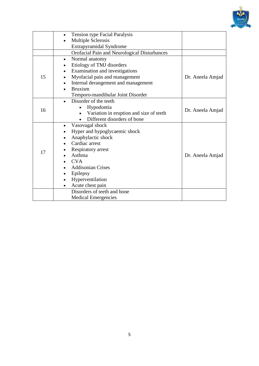

|    | Tension type Facial Paralysis<br>$\bullet$           |                  |  |  |  |  |
|----|------------------------------------------------------|------------------|--|--|--|--|
|    | <b>Multiple Sclerosis</b><br>$\bullet$               |                  |  |  |  |  |
|    | Extrapyramidal Syndrome                              |                  |  |  |  |  |
|    | Orofacial Pain and Neurological Disturbances         |                  |  |  |  |  |
|    | Normal anatomy<br>$\bullet$                          |                  |  |  |  |  |
|    | Etiology of TMJ disorders                            |                  |  |  |  |  |
|    | Examination and investigations                       |                  |  |  |  |  |
| 15 | Myofacial pain and management                        | Dr. Aneela Amjad |  |  |  |  |
|    | Internal derangement and management                  |                  |  |  |  |  |
|    | <b>Bruxism</b>                                       |                  |  |  |  |  |
|    | Temporo-mandibular Joint Disorder                    |                  |  |  |  |  |
|    | Disorder of the teeth<br>$\bullet$                   |                  |  |  |  |  |
| 16 | Hypodontia<br>$\bullet$                              | Dr. Aneela Amjad |  |  |  |  |
|    | Variation in eruption and size of teeth<br>$\bullet$ |                  |  |  |  |  |
|    | Different disorders of bone                          |                  |  |  |  |  |
|    | Vasovagal shock<br>$\bullet$                         |                  |  |  |  |  |
|    | Hyper and hypoglycaemic shock                        |                  |  |  |  |  |
|    | Anaphylactic shock                                   |                  |  |  |  |  |
|    | Cardiac arrest                                       |                  |  |  |  |  |
| 17 | Respiratory arrest                                   |                  |  |  |  |  |
|    | Asthma                                               | Dr. Aneela Amjad |  |  |  |  |
|    | <b>CVA</b>                                           |                  |  |  |  |  |
|    | <b>Addisonian Crises</b>                             |                  |  |  |  |  |
|    | Epilepsy                                             |                  |  |  |  |  |
|    | Hyperventilation                                     |                  |  |  |  |  |
|    | Acute chest pain                                     |                  |  |  |  |  |
|    | Disorders of teeth and bone                          |                  |  |  |  |  |
|    | <b>Medical Emergencies</b>                           |                  |  |  |  |  |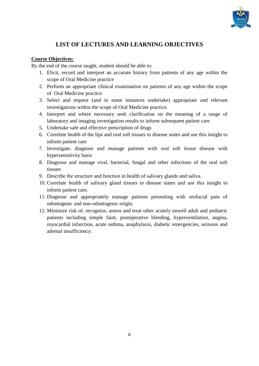

## **LIST OF LECTURES AND LEARNING OBJECTIVES**

### **Course Objectives:**

By the end of the course taught, student should be able to:

- 1. Elicit, record and interpret an accurate history from patients of any age within the scope of Oral Medicine practice
- 2. Perform an appropriate clinical examination on patients of any age within the scope of Oral Medicine practice
- 3. Select and request (and in some instances undertake) appropriate and relevant investigations within the scope of Oral Medicine practice.
- 4. Interpret and where necessary seek clarification on the meaning of a range of laboratory and imaging investigation results to inform subsequent patient care
- 5. Undertake safe and effective prescription of drugs
- 6. Correlate health of the lips and oral soft tissues to disease states and use this insight to inform patient care
- 7. Investigate, diagnose and manage patients with oral soft tissue disease with hypersensitivity basis
- 8. Diagnose and manage viral, bacterial, fungal and other infections of the oral soft tissues
- 9. Describe the structure and function in health of salivary glands and saliva.
- 10. Correlate health of salivary gland tissues to disease states and use this insight to inform patient care.
- 11. Diagnose and appropriately manage patients presenting with orofacial pain of odontogenic and non-odontogenic origin.
- 12. Minimize risk of, recognize, assess and treat other acutely unwell adult and pediatric patients including simple faint, postoperative bleeding, hyperventilation, angina, myocardial infarction, acute asthma, anaphylaxis, diabetic emergencies, seizures and adrenal insufficiency.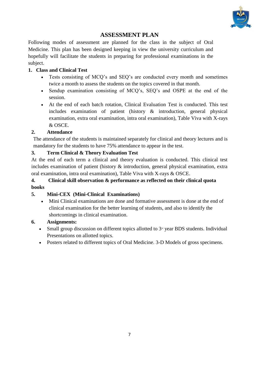

## **ASSESSMENT PLAN**

Following modes of assessment are planned for the class in the subject of Oral Medicine. This plan has been designed keeping in view the university curriculum and hopefully will facilitate the students in preparing for professional examinations in the subject.

## **1. Class and Clinical Test**

- Tests consisting of MCQ's and SEQ's are conducted every month and sometimes twice a month to assess the students on the topics covered in that month.
- Sendup examination consisting of MCQ's, SEQ's and OSPE at the end of the session.
- At the end of each batch rotation, Clinical Evaluation Test is conducted. This test includes examination of patient (history & introduction, general physical examination, extra oral examination, intra oral examination), Table Viva with X-rays & OSCE.

## **2. Attendance**

The attendance of the students is maintained separately for clinical and theory lectures and is mandatory for the students to have 75% attendance to appear in the test.

## **3. Term Clinical & Theory Evaluation Test**

At the end of each term a clinical and theory evaluation is conducted. This clinical test includes examination of patient (history & introduction, general physical examination, extra oral examination, intra oral examination), Table Viva with X-rays & OSCE.

## **4. Clinical skill observation & performance as reflected on their clinical quota books**

## **5. Mini-CEX (Mini-Clinical Examinations)**

 Mini Clinical examinations are done and formative assessment is done at the end of clinical examination for the better learning of students, and also to identify the shortcomings in clinical examination.

### **6. Assignments:**

- Small group discussion on different topics allotted to  $3<sup>d</sup>$  year BDS students. Individual Presentations on allotted topics.
- Posters related to different topics of Oral Medicine. 3-D Models of gross specimens.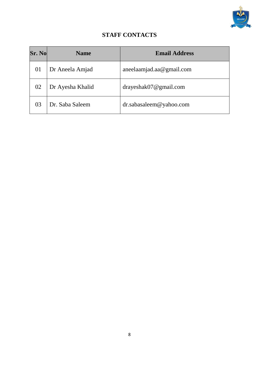

## **STAFF CONTACTS**

| Sr. No | <b>Name</b>      | <b>Email Address</b>     |
|--------|------------------|--------------------------|
| 01     | Dr Aneela Amjad  | aneelaamjad.aa@gmail.com |
| 02     | Dr Ayesha Khalid | drayeshak07@gmail.com    |
| 03     | Dr. Saba Saleem  | dr.sabasaleem@yahoo.com  |